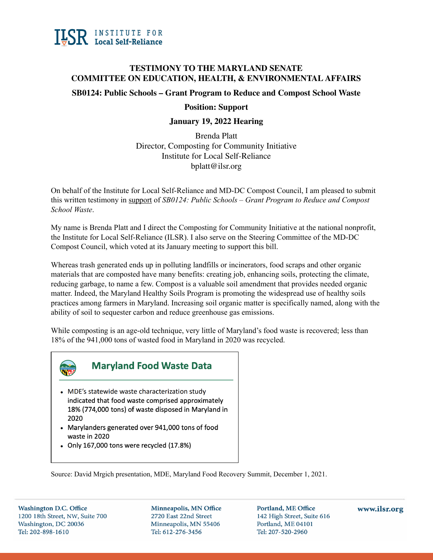

## **TESTIMONY TO THE MARYLAND SENATE COMMITTEE ON EDUCATION, HEALTH, & ENVIRONMENTAL AFFAIRS**

## **SB0124: Public Schools – Grant Program to Reduce and Compost School Waste**

### **Position: Support**

### **January 19, 2022 Hearing**

Brenda Platt Director, Composting for Community Initiative Institute for Local Self-Reliance bplatt@ilsr.org

On behalf of the Institute for Local Self-Reliance and MD-DC Compost Council, I am pleased to submit this written testimony in support of *SB0124: Public Schools – Grant Program to Reduce and Compost School Waste*.

My name is Brenda Platt and I direct the Composting for Community Initiative at the national nonprofit, the Institute for Local Self-Reliance (ILSR). I also serve on the Steering Committee of the MD-DC Compost Council, which voted at its January meeting to support this bill.

Whereas trash generated ends up in polluting landfills or incinerators, food scraps and other organic materials that are composted have many benefits: creating job, enhancing soils, protecting the climate, reducing garbage, to name a few. Compost is a valuable soil amendment that provides needed organic matter. Indeed, the Maryland Healthy Soils Program is promoting the widespread use of healthy soils practices among farmers in Maryland. Increasing soil organic matter is specifically named, along with the ability of soil to sequester carbon and reduce greenhouse gas emissions.

While composting is an age-old technique, very little of Maryland's food waste is recovered; less than 18% of the 941,000 tons of wasted food in Maryland in 2020 was recycled.



# **Maryland Food Waste Data**

- MDE's statewide waste characterization study indicated that food waste comprised approximately 18% (774,000 tons) of waste disposed in Maryland in 2020
- Marylanders generated over 941,000 tons of food waste in 2020
- Only 167,000 tons were recycled (17.8%)

Source: David Mrgich presentation, MDE, Maryland Food Recovery Summit, December 1, 2021.

**Washington D.C. Office** 1200 18th Street, NW, Suite 700 Washington, DC 20036 Tel: 202-898-1610

Minneapolis, MN Office 2720 East 22nd Street Minneapolis, MN 55406 Tel: 612-276-3456

Portland, ME Office 142 High Street, Suite 616 Portland, ME 04101 Tel: 207-520-2960

### www.ilsr.org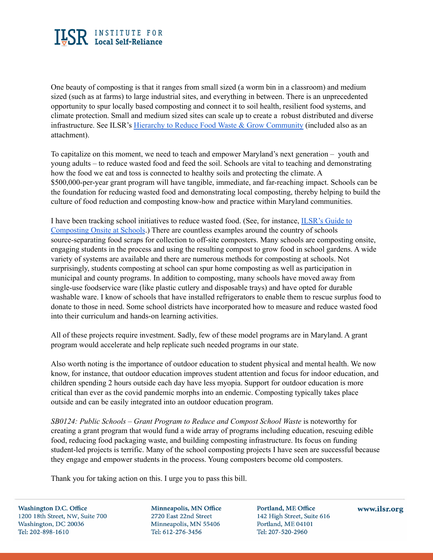

One beauty of composting is that it ranges from small sized (a worm bin in a classroom) and medium sized (such as at farms) to large industrial sites, and everything in between. There is an unprecedented opportunity to spur locally based composting and connect it to soil health, resilient food systems, and climate protection. Small and medium sized sites can scale up to create a robust distributed and diverse infrastructure. See ILSR's Hierarchy to Reduce Food Waste & Grow [Community](https://ilsr.org/food-waste-hierarchy/) (included also as an attachment).

To capitalize on this moment, we need to teach and empower Maryland's next generation – youth and young adults – to reduce wasted food and feed the soil. Schools are vital to teaching and demonstrating how the food we eat and toss is connected to healthy soils and protecting the climate. A \$500,000-per-year grant program will have tangible, immediate, and far-reaching impact. Schools can be the foundation for reducing wasted food and demonstrating local composting, thereby helping to build the culture of food reduction and composting know-how and practice within Maryland communities.

I have been tracking school initiatives to reduce wasted food. (See, for instance, [ILSR's](https://ilsr.org/ilsr-guide-to-composting-onsite-at-schools/) Guide to [Composting](https://ilsr.org/ilsr-guide-to-composting-onsite-at-schools/) Onsite at Schools.) There are countless examples around the country of schools source-separating food scraps for collection to off-site composters. Many schools are composting onsite, engaging students in the process and using the resulting compost to grow food in school gardens. A wide variety of systems are available and there are numerous methods for composting at schools. Not surprisingly, students composting at school can spur home composting as well as participation in municipal and county programs. In addition to composting, many schools have moved away from single-use foodservice ware (like plastic cutlery and disposable trays) and have opted for durable washable ware. I know of schools that have installed refrigerators to enable them to rescue surplus food to donate to those in need. Some school districts have incorporated how to measure and reduce wasted food into their curriculum and hands-on learning activities.

All of these projects require investment. Sadly, few of these model programs are in Maryland. A grant program would accelerate and help replicate such needed programs in our state.

Also worth noting is the importance of outdoor education to student physical and mental health. We now know, for instance, that outdoor education improves student attention and focus for indoor education, and children spending 2 hours outside each day have less myopia. Support for outdoor education is more critical than ever as the covid pandemic morphs into an endemic. Composting typically takes place outside and can be easily integrated into an outdoor education program.

*SB0124: Public Schools – Grant Program to Reduce and Compost School Waste* is noteworthy for creating a grant program that would fund a wide array of programs including education, rescuing edible food, reducing food packaging waste, and building composting infrastructure. Its focus on funding student-led projects is terrific. Many of the school composting projects I have seen are successful because they engage and empower students in the process. Young composters become old composters.

Thank you for taking action on this. I urge you to pass this bill.

**Washington D.C. Office** 1200 18th Street, NW, Suite 700 Washington, DC 20036 Tel: 202-898-1610

Minneapolis, MN Office 2720 East 22nd Street Minneapolis, MN 55406 Tel: 612-276-3456

Portland, ME Office 142 High Street, Suite 616 Portland, ME 04101 Tel: 207-520-2960

www.ilsr.org